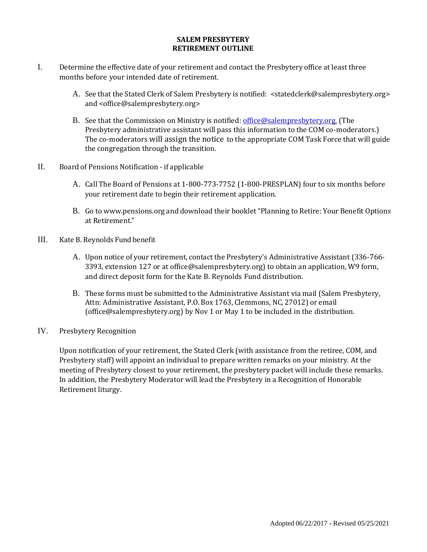## **SALEM PRESBYTERY RETIREMENT OUTLINE**

- I. Determine the effective date of your retirement and contact the Presbytery office at least three months before your intended date of retirement.
	- A. See that the Stated Clerk of Salem Presbytery is notified: <statedclerk@salempresbytery.org> and <office@salempresbytery.org>
	- B. See that the Commission on Ministry is notified: [office@salempresbytery.org.](mailto:office@salempresbytery.org) (The Presbytery administrative assistant will pass this information to the COM co-moderators.) The co-moderators will assign the notice to the appropriate COM Task Force that will guide the congregation through the transition.
- II. Board of Pensions Notification if applicable
	- A. Call The Board of Pensions at 1-800-773-7752 (1-800-PRESPLAN) four to six months before your retirement date to begin their retirement application.
	- B. Go to [www.pensions.org](http://www.pensions.org/) and download their booklet"Planning to Retire: Your Benefit Options at Retirement."
- III. Kate B. Reynolds Fund benefit
	- A. Upon notice of your retirement, contact the Presbytery's Administrative Assistant (336-766- 3393, extension 127 or at [office@salempresbytery.org\)](mailto:office@salempresbytery.org) to obtain an application, W9 form, and direct deposit form for the Kate B. Reynolds Fund distribution.
	- B. These forms must be submitted to the Administrative Assistant via mail (Salem Presbytery, Attn: Administrative Assistant, P.O. Box 1763, Clemmons, NC, 27012) or email (office@salempresbytery.org) by Nov 1 or May 1 to be included in the distribution.
- IV. Presbytery Recognition

Upon notification of your retirement, the Stated Clerk (with assistance from the retiree, COM, and Presbytery staff) will appoint an individual to prepare written remarks on your ministry. At the meeting of Presbytery closest to your retirement, the presbytery packet will include these remarks. In addition, the Presbytery Moderator will lead the Presbytery in a Recognition of Honorable Retirement liturgy.